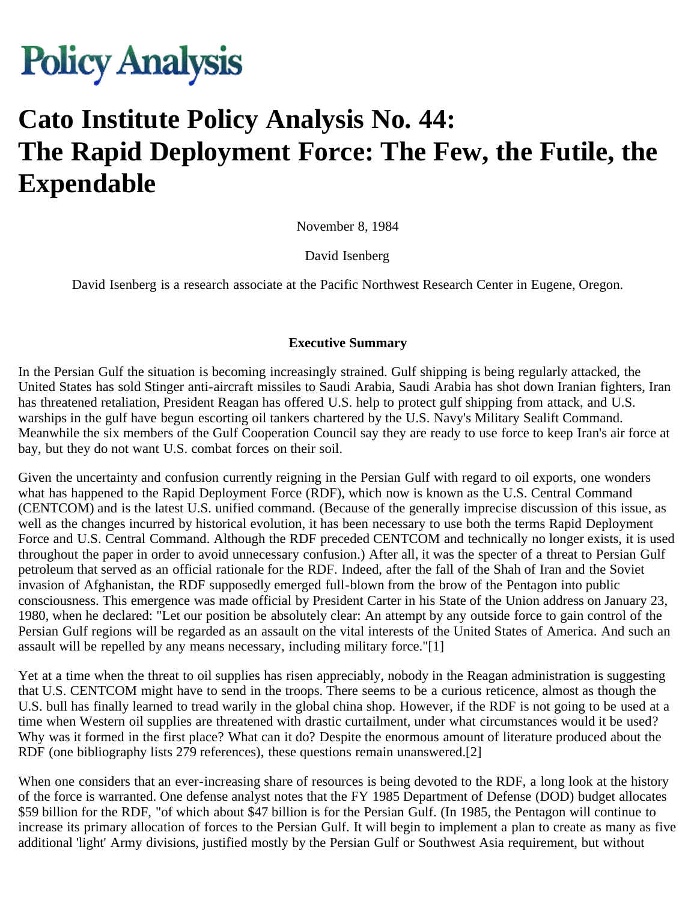# **Policy Analysis**

# **Cato Institute Policy Analysis No. 44: The Rapid Deployment Force: The Few, the Futile, the Expendable**

November 8, 1984

David Isenberg

David Isenberg is a research associate at the Pacific Northwest Research Center in Eugene, Oregon.

#### **Executive Summary**

In the Persian Gulf the situation is becoming increasingly strained. Gulf shipping is being regularly attacked, the United States has sold Stinger anti-aircraft missiles to Saudi Arabia, Saudi Arabia has shot down Iranian fighters, Iran has threatened retaliation, President Reagan has offered U.S. help to protect gulf shipping from attack, and U.S. warships in the gulf have begun escorting oil tankers chartered by the U.S. Navy's Military Sealift Command. Meanwhile the six members of the Gulf Cooperation Council say they are ready to use force to keep Iran's air force at bay, but they do not want U.S. combat forces on their soil.

Given the uncertainty and confusion currently reigning in the Persian Gulf with regard to oil exports, one wonders what has happened to the Rapid Deployment Force (RDF), which now is known as the U.S. Central Command (CENTCOM) and is the latest U.S. unified command. (Because of the generally imprecise discussion of this issue, as well as the changes incurred by historical evolution, it has been necessary to use both the terms Rapid Deployment Force and U.S. Central Command. Although the RDF preceded CENTCOM and technically no longer exists, it is used throughout the paper in order to avoid unnecessary confusion.) After all, it was the specter of a threat to Persian Gulf petroleum that served as an official rationale for the RDF. Indeed, after the fall of the Shah of Iran and the Soviet invasion of Afghanistan, the RDF supposedly emerged full-blown from the brow of the Pentagon into public consciousness. This emergence was made official by President Carter in his State of the Union address on January 23, 1980, when he declared: "Let our position be absolutely clear: An attempt by any outside force to gain control of the Persian Gulf regions will be regarded as an assault on the vital interests of the United States of America. And such an assault will be repelled by any means necessary, including military force."[1]

Yet at a time when the threat to oil supplies has risen appreciably, nobody in the Reagan administration is suggesting that U.S. CENTCOM might have to send in the troops. There seems to be a curious reticence, almost as though the U.S. bull has finally learned to tread warily in the global china shop. However, if the RDF is not going to be used at a time when Western oil supplies are threatened with drastic curtailment, under what circumstances would it be used? Why was it formed in the first place? What can it do? Despite the enormous amount of literature produced about the RDF (one bibliography lists 279 references), these questions remain unanswered.[2]

When one considers that an ever-increasing share of resources is being devoted to the RDF, a long look at the history of the force is warranted. One defense analyst notes that the FY 1985 Department of Defense (DOD) budget allocates \$59 billion for the RDF, "of which about \$47 billion is for the Persian Gulf. (In 1985, the Pentagon will continue to increase its primary allocation of forces to the Persian Gulf. It will begin to implement a plan to create as many as five additional 'light' Army divisions, justified mostly by the Persian Gulf or Southwest Asia requirement, but without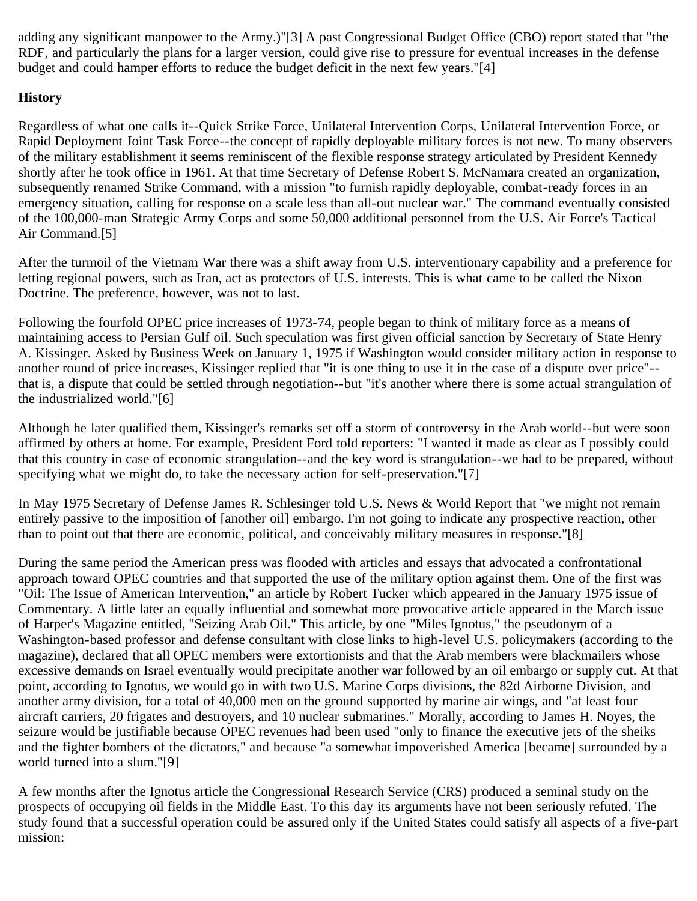adding any significant manpower to the Army.)"[3] A past Congressional Budget Office (CBO) report stated that "the RDF, and particularly the plans for a larger version, could give rise to pressure for eventual increases in the defense budget and could hamper efforts to reduce the budget deficit in the next few years."[4]

# **History**

Regardless of what one calls it--Quick Strike Force, Unilateral Intervention Corps, Unilateral Intervention Force, or Rapid Deployment Joint Task Force--the concept of rapidly deployable military forces is not new. To many observers of the military establishment it seems reminiscent of the flexible response strategy articulated by President Kennedy shortly after he took office in 1961. At that time Secretary of Defense Robert S. McNamara created an organization, subsequently renamed Strike Command, with a mission "to furnish rapidly deployable, combat-ready forces in an emergency situation, calling for response on a scale less than all-out nuclear war." The command eventually consisted of the 100,000-man Strategic Army Corps and some 50,000 additional personnel from the U.S. Air Force's Tactical Air Command.[5]

After the turmoil of the Vietnam War there was a shift away from U.S. interventionary capability and a preference for letting regional powers, such as Iran, act as protectors of U.S. interests. This is what came to be called the Nixon Doctrine. The preference, however, was not to last.

Following the fourfold OPEC price increases of 1973-74, people began to think of military force as a means of maintaining access to Persian Gulf oil. Such speculation was first given official sanction by Secretary of State Henry A. Kissinger. Asked by Business Week on January 1, 1975 if Washington would consider military action in response to another round of price increases, Kissinger replied that "it is one thing to use it in the case of a dispute over price"- that is, a dispute that could be settled through negotiation--but "it's another where there is some actual strangulation of the industrialized world."[6]

Although he later qualified them, Kissinger's remarks set off a storm of controversy in the Arab world--but were soon affirmed by others at home. For example, President Ford told reporters: "I wanted it made as clear as I possibly could that this country in case of economic strangulation--and the key word is strangulation--we had to be prepared, without specifying what we might do, to take the necessary action for self-preservation."[7]

In May 1975 Secretary of Defense James R. Schlesinger told U.S. News & World Report that "we might not remain entirely passive to the imposition of [another oil] embargo. I'm not going to indicate any prospective reaction, other than to point out that there are economic, political, and conceivably military measures in response."[8]

During the same period the American press was flooded with articles and essays that advocated a confrontational approach toward OPEC countries and that supported the use of the military option against them. One of the first was "Oil: The Issue of American Intervention," an article by Robert Tucker which appeared in the January 1975 issue of Commentary. A little later an equally influential and somewhat more provocative article appeared in the March issue of Harper's Magazine entitled, "Seizing Arab Oil." This article, by one "Miles Ignotus," the pseudonym of a Washington-based professor and defense consultant with close links to high-level U.S. policymakers (according to the magazine), declared that all OPEC members were extortionists and that the Arab members were blackmailers whose excessive demands on Israel eventually would precipitate another war followed by an oil embargo or supply cut. At that point, according to Ignotus, we would go in with two U.S. Marine Corps divisions, the 82d Airborne Division, and another army division, for a total of 40,000 men on the ground supported by marine air wings, and "at least four aircraft carriers, 20 frigates and destroyers, and 10 nuclear submarines." Morally, according to James H. Noyes, the seizure would be justifiable because OPEC revenues had been used "only to finance the executive jets of the sheiks and the fighter bombers of the dictators," and because "a somewhat impoverished America [became] surrounded by a world turned into a slum."[9]

A few months after the Ignotus article the Congressional Research Service (CRS) produced a seminal study on the prospects of occupying oil fields in the Middle East. To this day its arguments have not been seriously refuted. The study found that a successful operation could be assured only if the United States could satisfy all aspects of a five-part mission: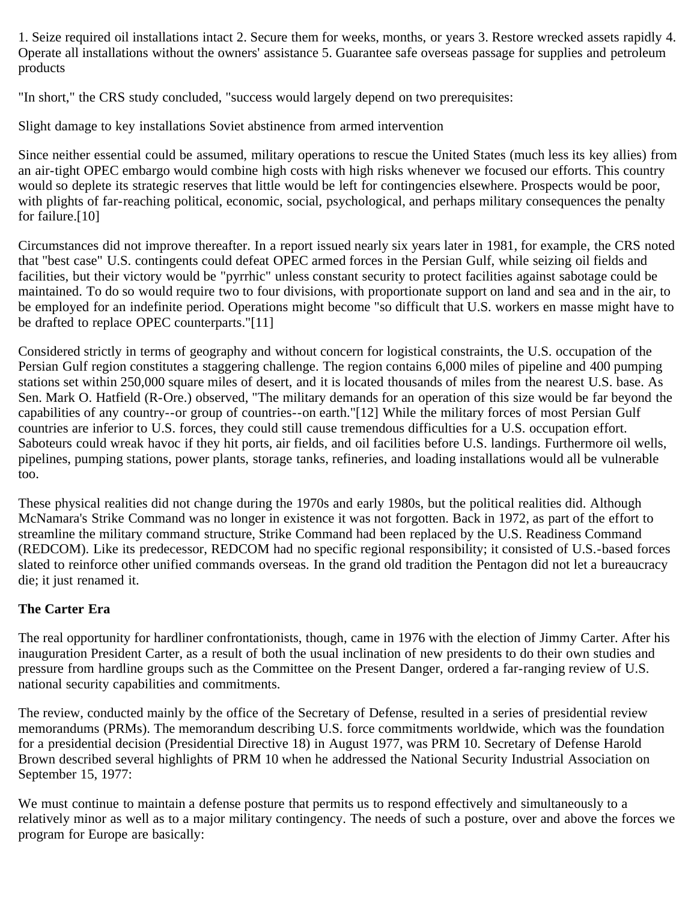1. Seize required oil installations intact 2. Secure them for weeks, months, or years 3. Restore wrecked assets rapidly 4. Operate all installations without the owners' assistance 5. Guarantee safe overseas passage for supplies and petroleum products

"In short," the CRS study concluded, "success would largely depend on two prerequisites:

Slight damage to key installations Soviet abstinence from armed intervention

Since neither essential could be assumed, military operations to rescue the United States (much less its key allies) from an air-tight OPEC embargo would combine high costs with high risks whenever we focused our efforts. This country would so deplete its strategic reserves that little would be left for contingencies elsewhere. Prospects would be poor, with plights of far-reaching political, economic, social, psychological, and perhaps military consequences the penalty for failure.[10]

Circumstances did not improve thereafter. In a report issued nearly six years later in 1981, for example, the CRS noted that "best case" U.S. contingents could defeat OPEC armed forces in the Persian Gulf, while seizing oil fields and facilities, but their victory would be "pyrrhic" unless constant security to protect facilities against sabotage could be maintained. To do so would require two to four divisions, with proportionate support on land and sea and in the air, to be employed for an indefinite period. Operations might become "so difficult that U.S. workers en masse might have to be drafted to replace OPEC counterparts."[11]

Considered strictly in terms of geography and without concern for logistical constraints, the U.S. occupation of the Persian Gulf region constitutes a staggering challenge. The region contains 6,000 miles of pipeline and 400 pumping stations set within 250,000 square miles of desert, and it is located thousands of miles from the nearest U.S. base. As Sen. Mark O. Hatfield (R-Ore.) observed, "The military demands for an operation of this size would be far beyond the capabilities of any country--or group of countries--on earth."[12] While the military forces of most Persian Gulf countries are inferior to U.S. forces, they could still cause tremendous difficulties for a U.S. occupation effort. Saboteurs could wreak havoc if they hit ports, air fields, and oil facilities before U.S. landings. Furthermore oil wells, pipelines, pumping stations, power plants, storage tanks, refineries, and loading installations would all be vulnerable too.

These physical realities did not change during the 1970s and early 1980s, but the political realities did. Although McNamara's Strike Command was no longer in existence it was not forgotten. Back in 1972, as part of the effort to streamline the military command structure, Strike Command had been replaced by the U.S. Readiness Command (REDCOM). Like its predecessor, REDCOM had no specific regional responsibility; it consisted of U.S.-based forces slated to reinforce other unified commands overseas. In the grand old tradition the Pentagon did not let a bureaucracy die; it just renamed it.

# **The Carter Era**

The real opportunity for hardliner confrontationists, though, came in 1976 with the election of Jimmy Carter. After his inauguration President Carter, as a result of both the usual inclination of new presidents to do their own studies and pressure from hardline groups such as the Committee on the Present Danger, ordered a far-ranging review of U.S. national security capabilities and commitments.

The review, conducted mainly by the office of the Secretary of Defense, resulted in a series of presidential review memorandums (PRMs). The memorandum describing U.S. force commitments worldwide, which was the foundation for a presidential decision (Presidential Directive 18) in August 1977, was PRM 10. Secretary of Defense Harold Brown described several highlights of PRM 10 when he addressed the National Security Industrial Association on September 15, 1977:

We must continue to maintain a defense posture that permits us to respond effectively and simultaneously to a relatively minor as well as to a major military contingency. The needs of such a posture, over and above the forces we program for Europe are basically: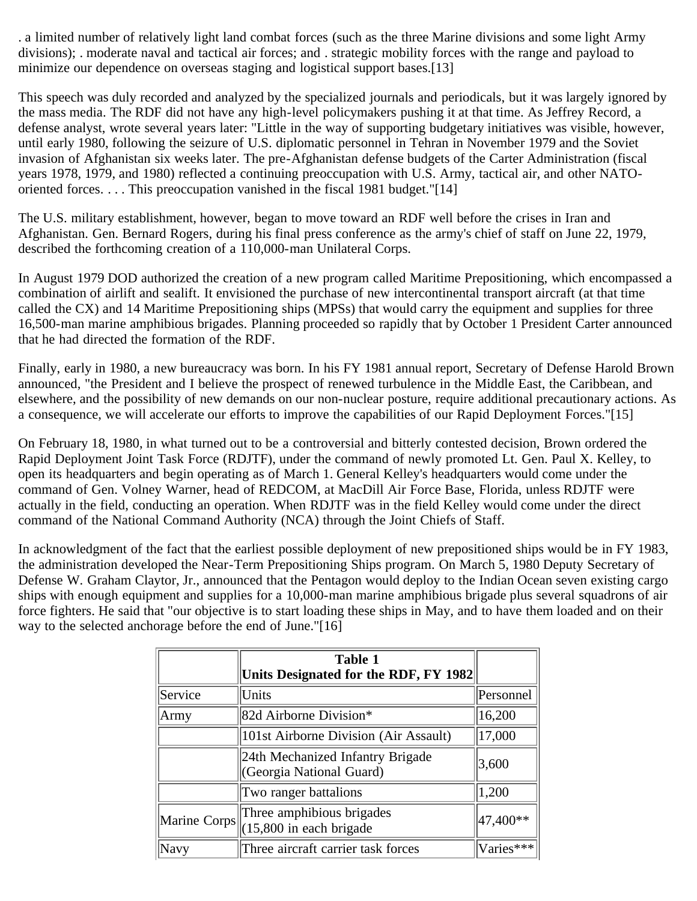. a limited number of relatively light land combat forces (such as the three Marine divisions and some light Army divisions); . moderate naval and tactical air forces; and . strategic mobility forces with the range and payload to minimize our dependence on overseas staging and logistical support bases.[13]

This speech was duly recorded and analyzed by the specialized journals and periodicals, but it was largely ignored by the mass media. The RDF did not have any high-level policymakers pushing it at that time. As Jeffrey Record, a defense analyst, wrote several years later: "Little in the way of supporting budgetary initiatives was visible, however, until early 1980, following the seizure of U.S. diplomatic personnel in Tehran in November 1979 and the Soviet invasion of Afghanistan six weeks later. The pre-Afghanistan defense budgets of the Carter Administration (fiscal years 1978, 1979, and 1980) reflected a continuing preoccupation with U.S. Army, tactical air, and other NATOoriented forces. . . . This preoccupation vanished in the fiscal 1981 budget."[14]

The U.S. military establishment, however, began to move toward an RDF well before the crises in Iran and Afghanistan. Gen. Bernard Rogers, during his final press conference as the army's chief of staff on June 22, 1979, described the forthcoming creation of a 110,000-man Unilateral Corps.

In August 1979 DOD authorized the creation of a new program called Maritime Prepositioning, which encompassed a combination of airlift and sealift. It envisioned the purchase of new intercontinental transport aircraft (at that time called the CX) and 14 Maritime Prepositioning ships (MPSs) that would carry the equipment and supplies for three 16,500-man marine amphibious brigades. Planning proceeded so rapidly that by October 1 President Carter announced that he had directed the formation of the RDF.

Finally, early in 1980, a new bureaucracy was born. In his FY 1981 annual report, Secretary of Defense Harold Brown announced, "the President and I believe the prospect of renewed turbulence in the Middle East, the Caribbean, and elsewhere, and the possibility of new demands on our non-nuclear posture, require additional precautionary actions. As a consequence, we will accelerate our efforts to improve the capabilities of our Rapid Deployment Forces."[15]

On February 18, 1980, in what turned out to be a controversial and bitterly contested decision, Brown ordered the Rapid Deployment Joint Task Force (RDJTF), under the command of newly promoted Lt. Gen. Paul X. Kelley, to open its headquarters and begin operating as of March 1. General Kelley's headquarters would come under the command of Gen. Volney Warner, head of REDCOM, at MacDill Air Force Base, Florida, unless RDJTF were actually in the field, conducting an operation. When RDJTF was in the field Kelley would come under the direct command of the National Command Authority (NCA) through the Joint Chiefs of Staff.

In acknowledgment of the fact that the earliest possible deployment of new prepositioned ships would be in FY 1983, the administration developed the Near-Term Prepositioning Ships program. On March 5, 1980 Deputy Secretary of Defense W. Graham Claytor, Jr., announced that the Pentagon would deploy to the Indian Ocean seven existing cargo ships with enough equipment and supplies for a 10,000-man marine amphibious brigade plus several squadrons of air force fighters. He said that "our objective is to start loading these ships in May, and to have them loaded and on their way to the selected anchorage before the end of June."[16]

|         | <b>Table 1</b>                                                       |           |
|---------|----------------------------------------------------------------------|-----------|
|         | Units Designated for the RDF, FY 1982                                |           |
| Service | Units                                                                | Personnel |
| Army    | 82d Airborne Division*                                               | 16,200    |
|         | 101st Airborne Division (Air Assault)                                | 17,000    |
|         | 24th Mechanized Infantry Brigade<br>(Georgia National Guard)         | 3,600     |
|         | Two ranger battalions                                                | 1,200     |
|         | Marine Corps Three amphibious brigades<br>$(15,800)$ in each brigade | 47,400**  |
| Navy    | Three aircraft carrier task forces                                   | Varies*** |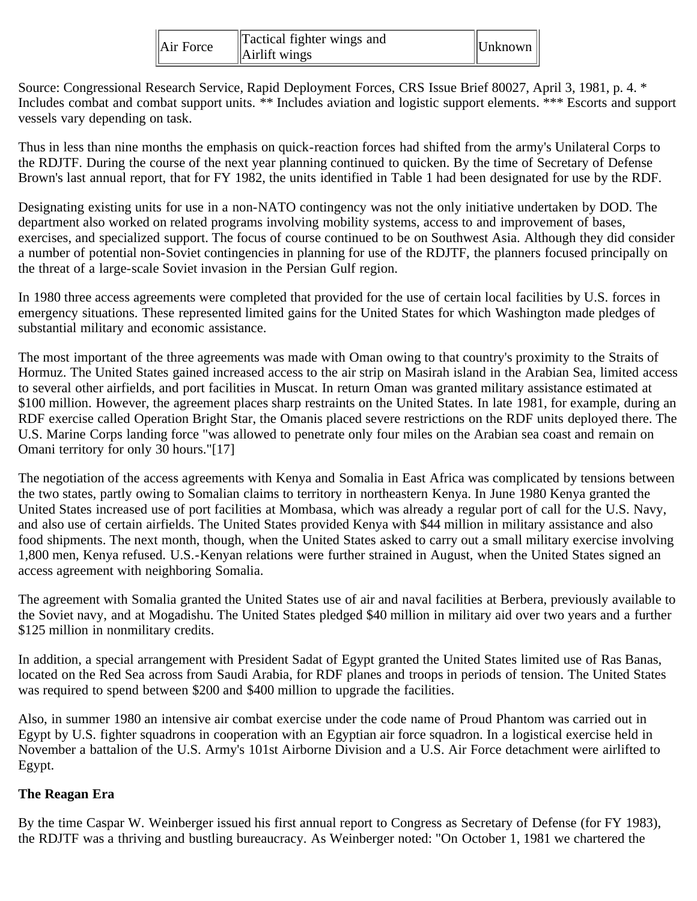| $\parallel$ Air Force | Tactical fighter wings and<br>$\Delta$ irlift wings | $\Vert$ Unknown $\Vert$ |  |
|-----------------------|-----------------------------------------------------|-------------------------|--|
|-----------------------|-----------------------------------------------------|-------------------------|--|

Source: Congressional Research Service, Rapid Deployment Forces, CRS Issue Brief 80027, April 3, 1981, p. 4. \* Includes combat and combat support units. \*\* Includes aviation and logistic support elements. \*\*\* Escorts and support vessels vary depending on task.

Thus in less than nine months the emphasis on quick-reaction forces had shifted from the army's Unilateral Corps to the RDJTF. During the course of the next year planning continued to quicken. By the time of Secretary of Defense Brown's last annual report, that for FY 1982, the units identified in Table 1 had been designated for use by the RDF.

Designating existing units for use in a non-NATO contingency was not the only initiative undertaken by DOD. The department also worked on related programs involving mobility systems, access to and improvement of bases, exercises, and specialized support. The focus of course continued to be on Southwest Asia. Although they did consider a number of potential non-Soviet contingencies in planning for use of the RDJTF, the planners focused principally on the threat of a large-scale Soviet invasion in the Persian Gulf region.

In 1980 three access agreements were completed that provided for the use of certain local facilities by U.S. forces in emergency situations. These represented limited gains for the United States for which Washington made pledges of substantial military and economic assistance.

The most important of the three agreements was made with Oman owing to that country's proximity to the Straits of Hormuz. The United States gained increased access to the air strip on Masirah island in the Arabian Sea, limited access to several other airfields, and port facilities in Muscat. In return Oman was granted military assistance estimated at \$100 million. However, the agreement places sharp restraints on the United States. In late 1981, for example, during an RDF exercise called Operation Bright Star, the Omanis placed severe restrictions on the RDF units deployed there. The U.S. Marine Corps landing force "was allowed to penetrate only four miles on the Arabian sea coast and remain on Omani territory for only 30 hours."[17]

The negotiation of the access agreements with Kenya and Somalia in East Africa was complicated by tensions between the two states, partly owing to Somalian claims to territory in northeastern Kenya. In June 1980 Kenya granted the United States increased use of port facilities at Mombasa, which was already a regular port of call for the U.S. Navy, and also use of certain airfields. The United States provided Kenya with \$44 million in military assistance and also food shipments. The next month, though, when the United States asked to carry out a small military exercise involving 1,800 men, Kenya refused. U.S.-Kenyan relations were further strained in August, when the United States signed an access agreement with neighboring Somalia.

The agreement with Somalia granted the United States use of air and naval facilities at Berbera, previously available to the Soviet navy, and at Mogadishu. The United States pledged \$40 million in military aid over two years and a further \$125 million in nonmilitary credits.

In addition, a special arrangement with President Sadat of Egypt granted the United States limited use of Ras Banas, located on the Red Sea across from Saudi Arabia, for RDF planes and troops in periods of tension. The United States was required to spend between \$200 and \$400 million to upgrade the facilities.

Also, in summer 1980 an intensive air combat exercise under the code name of Proud Phantom was carried out in Egypt by U.S. fighter squadrons in cooperation with an Egyptian air force squadron. In a logistical exercise held in November a battalion of the U.S. Army's 101st Airborne Division and a U.S. Air Force detachment were airlifted to Egypt.

#### **The Reagan Era**

By the time Caspar W. Weinberger issued his first annual report to Congress as Secretary of Defense (for FY 1983), the RDJTF was a thriving and bustling bureaucracy. As Weinberger noted: "On October 1, 1981 we chartered the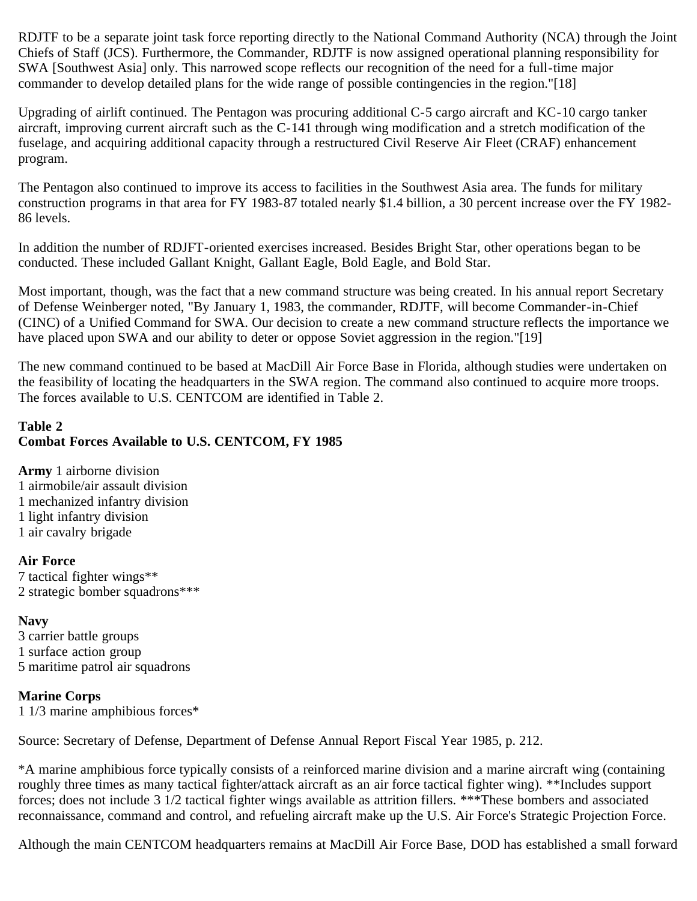RDJTF to be a separate joint task force reporting directly to the National Command Authority (NCA) through the Joint Chiefs of Staff (JCS). Furthermore, the Commander, RDJTF is now assigned operational planning responsibility for SWA [Southwest Asia] only. This narrowed scope reflects our recognition of the need for a full-time major commander to develop detailed plans for the wide range of possible contingencies in the region."[18]

Upgrading of airlift continued. The Pentagon was procuring additional C-5 cargo aircraft and KC-10 cargo tanker aircraft, improving current aircraft such as the C-141 through wing modification and a stretch modification of the fuselage, and acquiring additional capacity through a restructured Civil Reserve Air Fleet (CRAF) enhancement program.

The Pentagon also continued to improve its access to facilities in the Southwest Asia area. The funds for military construction programs in that area for FY 1983-87 totaled nearly \$1.4 billion, a 30 percent increase over the FY 1982- 86 levels.

In addition the number of RDJFT-oriented exercises increased. Besides Bright Star, other operations began to be conducted. These included Gallant Knight, Gallant Eagle, Bold Eagle, and Bold Star.

Most important, though, was the fact that a new command structure was being created. In his annual report Secretary of Defense Weinberger noted, "By January 1, 1983, the commander, RDJTF, will become Commander-in-Chief (CINC) of a Unified Command for SWA. Our decision to create a new command structure reflects the importance we have placed upon SWA and our ability to deter or oppose Soviet aggression in the region."[19]

The new command continued to be based at MacDill Air Force Base in Florida, although studies were undertaken on the feasibility of locating the headquarters in the SWA region. The command also continued to acquire more troops. The forces available to U.S. CENTCOM are identified in Table 2.

# **Table 2 Combat Forces Available to U.S. CENTCOM, FY 1985**

**Army** 1 airborne division 1 airmobile/air assault division 1 mechanized infantry division 1 light infantry division 1 air cavalry brigade

#### **Air Force**

7 tactical fighter wings\*\* 2 strategic bomber squadrons\*\*\*

# **Navy**

3 carrier battle groups 1 surface action group 5 maritime patrol air squadrons

#### **Marine Corps**

1 1/3 marine amphibious forces\*

Source: Secretary of Defense, Department of Defense Annual Report Fiscal Year 1985, p. 212.

\*A marine amphibious force typically consists of a reinforced marine division and a marine aircraft wing (containing roughly three times as many tactical fighter/attack aircraft as an air force tactical fighter wing). \*\*Includes support forces; does not include 3 1/2 tactical fighter wings available as attrition fillers. \*\*\*These bombers and associated reconnaissance, command and control, and refueling aircraft make up the U.S. Air Force's Strategic Projection Force.

Although the main CENTCOM headquarters remains at MacDill Air Force Base, DOD has established a small forward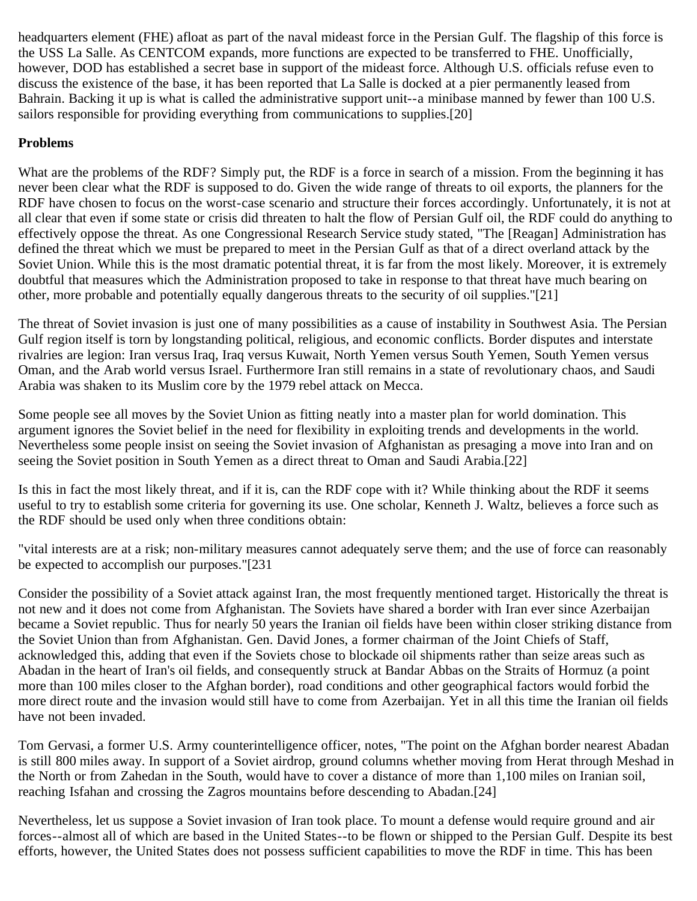headquarters element (FHE) afloat as part of the naval mideast force in the Persian Gulf. The flagship of this force is the USS La Salle. As CENTCOM expands, more functions are expected to be transferred to FHE. Unofficially, however, DOD has established a secret base in support of the mideast force. Although U.S. officials refuse even to discuss the existence of the base, it has been reported that La Salle is docked at a pier permanently leased from Bahrain. Backing it up is what is called the administrative support unit--a minibase manned by fewer than 100 U.S. sailors responsible for providing everything from communications to supplies.[20]

## **Problems**

What are the problems of the RDF? Simply put, the RDF is a force in search of a mission. From the beginning it has never been clear what the RDF is supposed to do. Given the wide range of threats to oil exports, the planners for the RDF have chosen to focus on the worst-case scenario and structure their forces accordingly. Unfortunately, it is not at all clear that even if some state or crisis did threaten to halt the flow of Persian Gulf oil, the RDF could do anything to effectively oppose the threat. As one Congressional Research Service study stated, "The [Reagan] Administration has defined the threat which we must be prepared to meet in the Persian Gulf as that of a direct overland attack by the Soviet Union. While this is the most dramatic potential threat, it is far from the most likely. Moreover, it is extremely doubtful that measures which the Administration proposed to take in response to that threat have much bearing on other, more probable and potentially equally dangerous threats to the security of oil supplies."[21]

The threat of Soviet invasion is just one of many possibilities as a cause of instability in Southwest Asia. The Persian Gulf region itself is torn by longstanding political, religious, and economic conflicts. Border disputes and interstate rivalries are legion: Iran versus Iraq, Iraq versus Kuwait, North Yemen versus South Yemen, South Yemen versus Oman, and the Arab world versus Israel. Furthermore Iran still remains in a state of revolutionary chaos, and Saudi Arabia was shaken to its Muslim core by the 1979 rebel attack on Mecca.

Some people see all moves by the Soviet Union as fitting neatly into a master plan for world domination. This argument ignores the Soviet belief in the need for flexibility in exploiting trends and developments in the world. Nevertheless some people insist on seeing the Soviet invasion of Afghanistan as presaging a move into Iran and on seeing the Soviet position in South Yemen as a direct threat to Oman and Saudi Arabia.[22]

Is this in fact the most likely threat, and if it is, can the RDF cope with it? While thinking about the RDF it seems useful to try to establish some criteria for governing its use. One scholar, Kenneth J. Waltz, believes a force such as the RDF should be used only when three conditions obtain:

"vital interests are at a risk; non-military measures cannot adequately serve them; and the use of force can reasonably be expected to accomplish our purposes."[231

Consider the possibility of a Soviet attack against Iran, the most frequently mentioned target. Historically the threat is not new and it does not come from Afghanistan. The Soviets have shared a border with Iran ever since Azerbaijan became a Soviet republic. Thus for nearly 50 years the Iranian oil fields have been within closer striking distance from the Soviet Union than from Afghanistan. Gen. David Jones, a former chairman of the Joint Chiefs of Staff, acknowledged this, adding that even if the Soviets chose to blockade oil shipments rather than seize areas such as Abadan in the heart of Iran's oil fields, and consequently struck at Bandar Abbas on the Straits of Hormuz (a point more than 100 miles closer to the Afghan border), road conditions and other geographical factors would forbid the more direct route and the invasion would still have to come from Azerbaijan. Yet in all this time the Iranian oil fields have not been invaded.

Tom Gervasi, a former U.S. Army counterintelligence officer, notes, "The point on the Afghan border nearest Abadan is still 800 miles away. In support of a Soviet airdrop, ground columns whether moving from Herat through Meshad in the North or from Zahedan in the South, would have to cover a distance of more than 1,100 miles on Iranian soil, reaching Isfahan and crossing the Zagros mountains before descending to Abadan.[24]

Nevertheless, let us suppose a Soviet invasion of Iran took place. To mount a defense would require ground and air forces--almost all of which are based in the United States--to be flown or shipped to the Persian Gulf. Despite its best efforts, however, the United States does not possess sufficient capabilities to move the RDF in time. This has been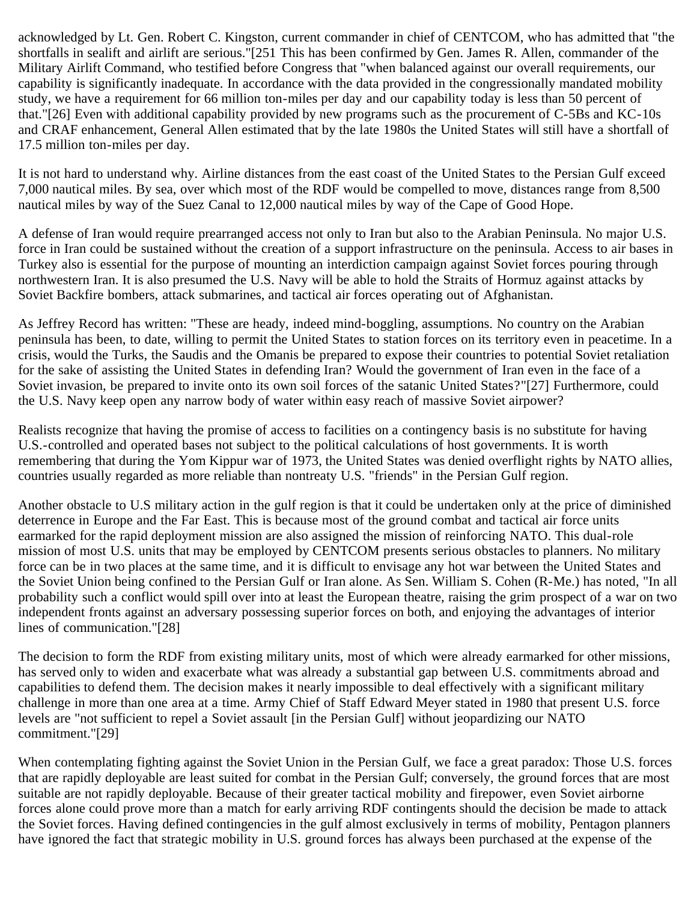acknowledged by Lt. Gen. Robert C. Kingston, current commander in chief of CENTCOM, who has admitted that "the shortfalls in sealift and airlift are serious."[251 This has been confirmed by Gen. James R. Allen, commander of the Military Airlift Command, who testified before Congress that "when balanced against our overall requirements, our capability is significantly inadequate. In accordance with the data provided in the congressionally mandated mobility study, we have a requirement for 66 million ton-miles per day and our capability today is less than 50 percent of that."[26] Even with additional capability provided by new programs such as the procurement of C-5Bs and KC-10s and CRAF enhancement, General Allen estimated that by the late 1980s the United States will still have a shortfall of 17.5 million ton-miles per day.

It is not hard to understand why. Airline distances from the east coast of the United States to the Persian Gulf exceed 7,000 nautical miles. By sea, over which most of the RDF would be compelled to move, distances range from 8,500 nautical miles by way of the Suez Canal to 12,000 nautical miles by way of the Cape of Good Hope.

A defense of Iran would require prearranged access not only to Iran but also to the Arabian Peninsula. No major U.S. force in Iran could be sustained without the creation of a support infrastructure on the peninsula. Access to air bases in Turkey also is essential for the purpose of mounting an interdiction campaign against Soviet forces pouring through northwestern Iran. It is also presumed the U.S. Navy will be able to hold the Straits of Hormuz against attacks by Soviet Backfire bombers, attack submarines, and tactical air forces operating out of Afghanistan.

As Jeffrey Record has written: "These are heady, indeed mind-boggling, assumptions. No country on the Arabian peninsula has been, to date, willing to permit the United States to station forces on its territory even in peacetime. In a crisis, would the Turks, the Saudis and the Omanis be prepared to expose their countries to potential Soviet retaliation for the sake of assisting the United States in defending Iran? Would the government of Iran even in the face of a Soviet invasion, be prepared to invite onto its own soil forces of the satanic United States?"[27] Furthermore, could the U.S. Navy keep open any narrow body of water within easy reach of massive Soviet airpower?

Realists recognize that having the promise of access to facilities on a contingency basis is no substitute for having U.S.-controlled and operated bases not subject to the political calculations of host governments. It is worth remembering that during the Yom Kippur war of 1973, the United States was denied overflight rights by NATO allies, countries usually regarded as more reliable than nontreaty U.S. "friends" in the Persian Gulf region.

Another obstacle to U.S military action in the gulf region is that it could be undertaken only at the price of diminished deterrence in Europe and the Far East. This is because most of the ground combat and tactical air force units earmarked for the rapid deployment mission are also assigned the mission of reinforcing NATO. This dual-role mission of most U.S. units that may be employed by CENTCOM presents serious obstacles to planners. No military force can be in two places at the same time, and it is difficult to envisage any hot war between the United States and the Soviet Union being confined to the Persian Gulf or Iran alone. As Sen. William S. Cohen (R-Me.) has noted, "In all probability such a conflict would spill over into at least the European theatre, raising the grim prospect of a war on two independent fronts against an adversary possessing superior forces on both, and enjoying the advantages of interior lines of communication."[28]

The decision to form the RDF from existing military units, most of which were already earmarked for other missions, has served only to widen and exacerbate what was already a substantial gap between U.S. commitments abroad and capabilities to defend them. The decision makes it nearly impossible to deal effectively with a significant military challenge in more than one area at a time. Army Chief of Staff Edward Meyer stated in 1980 that present U.S. force levels are "not sufficient to repel a Soviet assault [in the Persian Gulf] without jeopardizing our NATO commitment."[29]

When contemplating fighting against the Soviet Union in the Persian Gulf, we face a great paradox: Those U.S. forces that are rapidly deployable are least suited for combat in the Persian Gulf; conversely, the ground forces that are most suitable are not rapidly deployable. Because of their greater tactical mobility and firepower, even Soviet airborne forces alone could prove more than a match for early arriving RDF contingents should the decision be made to attack the Soviet forces. Having defined contingencies in the gulf almost exclusively in terms of mobility, Pentagon planners have ignored the fact that strategic mobility in U.S. ground forces has always been purchased at the expense of the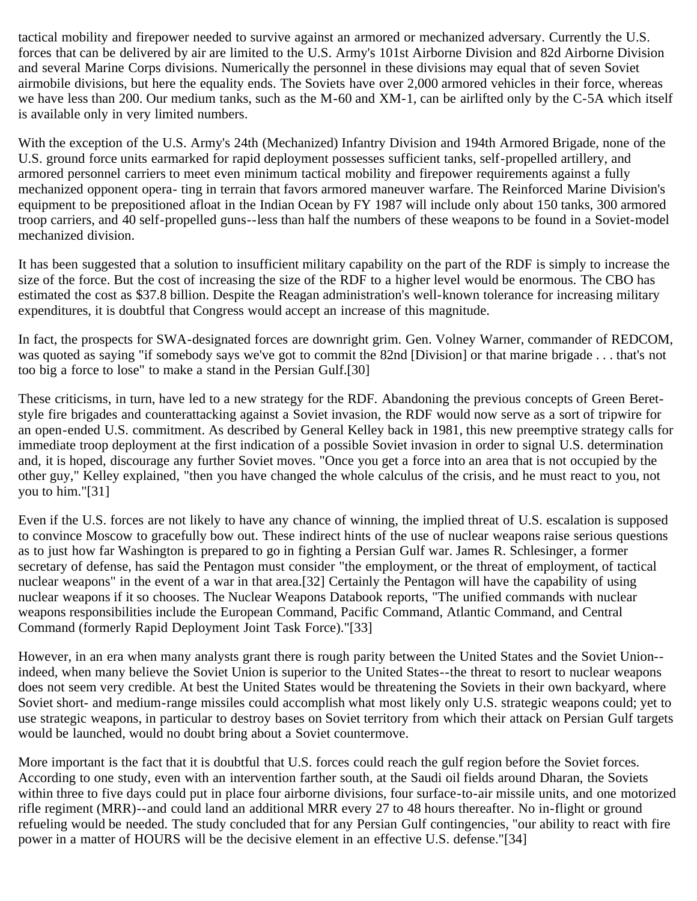tactical mobility and firepower needed to survive against an armored or mechanized adversary. Currently the U.S. forces that can be delivered by air are limited to the U.S. Army's 101st Airborne Division and 82d Airborne Division and several Marine Corps divisions. Numerically the personnel in these divisions may equal that of seven Soviet airmobile divisions, but here the equality ends. The Soviets have over 2,000 armored vehicles in their force, whereas we have less than 200. Our medium tanks, such as the M-60 and XM-1, can be airlifted only by the C-5A which itself is available only in very limited numbers.

With the exception of the U.S. Army's 24th (Mechanized) Infantry Division and 194th Armored Brigade, none of the U.S. ground force units earmarked for rapid deployment possesses sufficient tanks, self-propelled artillery, and armored personnel carriers to meet even minimum tactical mobility and firepower requirements against a fully mechanized opponent opera- ting in terrain that favors armored maneuver warfare. The Reinforced Marine Division's equipment to be prepositioned afloat in the Indian Ocean by FY 1987 will include only about 150 tanks, 300 armored troop carriers, and 40 self-propelled guns--less than half the numbers of these weapons to be found in a Soviet-model mechanized division.

It has been suggested that a solution to insufficient military capability on the part of the RDF is simply to increase the size of the force. But the cost of increasing the size of the RDF to a higher level would be enormous. The CBO has estimated the cost as \$37.8 billion. Despite the Reagan administration's well-known tolerance for increasing military expenditures, it is doubtful that Congress would accept an increase of this magnitude.

In fact, the prospects for SWA-designated forces are downright grim. Gen. Volney Warner, commander of REDCOM, was quoted as saying "if somebody says we've got to commit the 82nd [Division] or that marine brigade . . . that's not too big a force to lose" to make a stand in the Persian Gulf.[30]

These criticisms, in turn, have led to a new strategy for the RDF. Abandoning the previous concepts of Green Beretstyle fire brigades and counterattacking against a Soviet invasion, the RDF would now serve as a sort of tripwire for an open-ended U.S. commitment. As described by General Kelley back in 1981, this new preemptive strategy calls for immediate troop deployment at the first indication of a possible Soviet invasion in order to signal U.S. determination and, it is hoped, discourage any further Soviet moves. "Once you get a force into an area that is not occupied by the other guy," Kelley explained, "then you have changed the whole calculus of the crisis, and he must react to you, not you to him."[31]

Even if the U.S. forces are not likely to have any chance of winning, the implied threat of U.S. escalation is supposed to convince Moscow to gracefully bow out. These indirect hints of the use of nuclear weapons raise serious questions as to just how far Washington is prepared to go in fighting a Persian Gulf war. James R. Schlesinger, a former secretary of defense, has said the Pentagon must consider "the employment, or the threat of employment, of tactical nuclear weapons" in the event of a war in that area.[32] Certainly the Pentagon will have the capability of using nuclear weapons if it so chooses. The Nuclear Weapons Databook reports, "The unified commands with nuclear weapons responsibilities include the European Command, Pacific Command, Atlantic Command, and Central Command (formerly Rapid Deployment Joint Task Force)."[33]

However, in an era when many analysts grant there is rough parity between the United States and the Soviet Union- indeed, when many believe the Soviet Union is superior to the United States--the threat to resort to nuclear weapons does not seem very credible. At best the United States would be threatening the Soviets in their own backyard, where Soviet short- and medium-range missiles could accomplish what most likely only U.S. strategic weapons could; yet to use strategic weapons, in particular to destroy bases on Soviet territory from which their attack on Persian Gulf targets would be launched, would no doubt bring about a Soviet countermove.

More important is the fact that it is doubtful that U.S. forces could reach the gulf region before the Soviet forces. According to one study, even with an intervention farther south, at the Saudi oil fields around Dharan, the Soviets within three to five days could put in place four airborne divisions, four surface-to-air missile units, and one motorized rifle regiment (MRR)--and could land an additional MRR every 27 to 48 hours thereafter. No in-flight or ground refueling would be needed. The study concluded that for any Persian Gulf contingencies, "our ability to react with fire power in a matter of HOURS will be the decisive element in an effective U.S. defense."[34]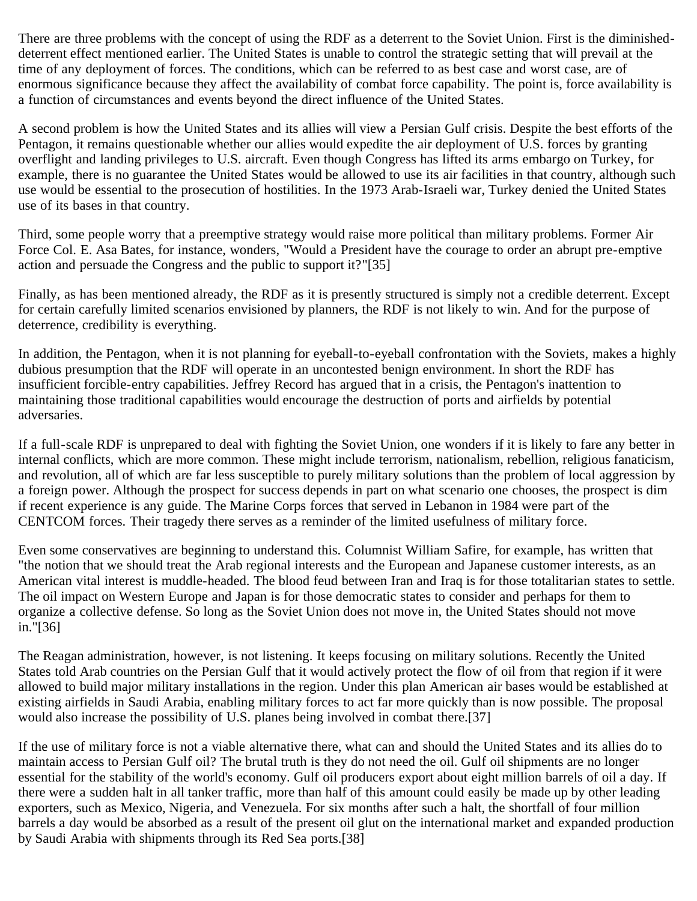There are three problems with the concept of using the RDF as a deterrent to the Soviet Union. First is the diminisheddeterrent effect mentioned earlier. The United States is unable to control the strategic setting that will prevail at the time of any deployment of forces. The conditions, which can be referred to as best case and worst case, are of enormous significance because they affect the availability of combat force capability. The point is, force availability is a function of circumstances and events beyond the direct influence of the United States.

A second problem is how the United States and its allies will view a Persian Gulf crisis. Despite the best efforts of the Pentagon, it remains questionable whether our allies would expedite the air deployment of U.S. forces by granting overflight and landing privileges to U.S. aircraft. Even though Congress has lifted its arms embargo on Turkey, for example, there is no guarantee the United States would be allowed to use its air facilities in that country, although such use would be essential to the prosecution of hostilities. In the 1973 Arab-Israeli war, Turkey denied the United States use of its bases in that country.

Third, some people worry that a preemptive strategy would raise more political than military problems. Former Air Force Col. E. Asa Bates, for instance, wonders, "Would a President have the courage to order an abrupt pre-emptive action and persuade the Congress and the public to support it?"[35]

Finally, as has been mentioned already, the RDF as it is presently structured is simply not a credible deterrent. Except for certain carefully limited scenarios envisioned by planners, the RDF is not likely to win. And for the purpose of deterrence, credibility is everything.

In addition, the Pentagon, when it is not planning for eyeball-to-eyeball confrontation with the Soviets, makes a highly dubious presumption that the RDF will operate in an uncontested benign environment. In short the RDF has insufficient forcible-entry capabilities. Jeffrey Record has argued that in a crisis, the Pentagon's inattention to maintaining those traditional capabilities would encourage the destruction of ports and airfields by potential adversaries.

If a full-scale RDF is unprepared to deal with fighting the Soviet Union, one wonders if it is likely to fare any better in internal conflicts, which are more common. These might include terrorism, nationalism, rebellion, religious fanaticism, and revolution, all of which are far less susceptible to purely military solutions than the problem of local aggression by a foreign power. Although the prospect for success depends in part on what scenario one chooses, the prospect is dim if recent experience is any guide. The Marine Corps forces that served in Lebanon in 1984 were part of the CENTCOM forces. Their tragedy there serves as a reminder of the limited usefulness of military force.

Even some conservatives are beginning to understand this. Columnist William Safire, for example, has written that "the notion that we should treat the Arab regional interests and the European and Japanese customer interests, as an American vital interest is muddle-headed. The blood feud between Iran and Iraq is for those totalitarian states to settle. The oil impact on Western Europe and Japan is for those democratic states to consider and perhaps for them to organize a collective defense. So long as the Soviet Union does not move in, the United States should not move in."[36]

The Reagan administration, however, is not listening. It keeps focusing on military solutions. Recently the United States told Arab countries on the Persian Gulf that it would actively protect the flow of oil from that region if it were allowed to build major military installations in the region. Under this plan American air bases would be established at existing airfields in Saudi Arabia, enabling military forces to act far more quickly than is now possible. The proposal would also increase the possibility of U.S. planes being involved in combat there.[37]

If the use of military force is not a viable alternative there, what can and should the United States and its allies do to maintain access to Persian Gulf oil? The brutal truth is they do not need the oil. Gulf oil shipments are no longer essential for the stability of the world's economy. Gulf oil producers export about eight million barrels of oil a day. If there were a sudden halt in all tanker traffic, more than half of this amount could easily be made up by other leading exporters, such as Mexico, Nigeria, and Venezuela. For six months after such a halt, the shortfall of four million barrels a day would be absorbed as a result of the present oil glut on the international market and expanded production by Saudi Arabia with shipments through its Red Sea ports.[38]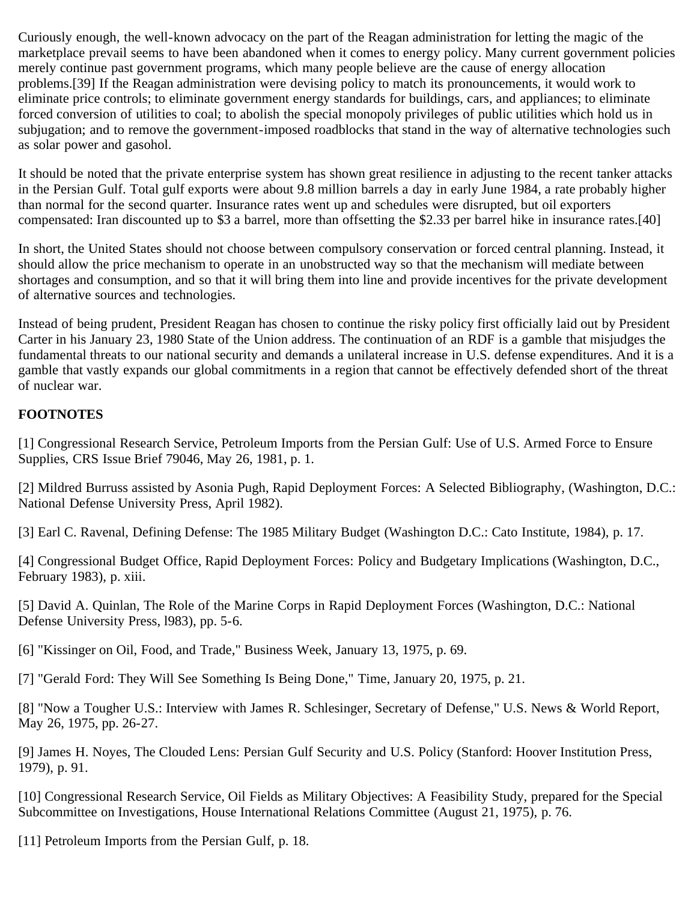Curiously enough, the well-known advocacy on the part of the Reagan administration for letting the magic of the marketplace prevail seems to have been abandoned when it comes to energy policy. Many current government policies merely continue past government programs, which many people believe are the cause of energy allocation problems.[39] If the Reagan administration were devising policy to match its pronouncements, it would work to eliminate price controls; to eliminate government energy standards for buildings, cars, and appliances; to eliminate forced conversion of utilities to coal; to abolish the special monopoly privileges of public utilities which hold us in subjugation; and to remove the government-imposed roadblocks that stand in the way of alternative technologies such as solar power and gasohol.

It should be noted that the private enterprise system has shown great resilience in adjusting to the recent tanker attacks in the Persian Gulf. Total gulf exports were about 9.8 million barrels a day in early June 1984, a rate probably higher than normal for the second quarter. Insurance rates went up and schedules were disrupted, but oil exporters compensated: Iran discounted up to \$3 a barrel, more than offsetting the \$2.33 per barrel hike in insurance rates.[40]

In short, the United States should not choose between compulsory conservation or forced central planning. Instead, it should allow the price mechanism to operate in an unobstructed way so that the mechanism will mediate between shortages and consumption, and so that it will bring them into line and provide incentives for the private development of alternative sources and technologies.

Instead of being prudent, President Reagan has chosen to continue the risky policy first officially laid out by President Carter in his January 23, 1980 State of the Union address. The continuation of an RDF is a gamble that misjudges the fundamental threats to our national security and demands a unilateral increase in U.S. defense expenditures. And it is a gamble that vastly expands our global commitments in a region that cannot be effectively defended short of the threat of nuclear war.

#### **FOOTNOTES**

[1] Congressional Research Service, Petroleum Imports from the Persian Gulf: Use of U.S. Armed Force to Ensure Supplies, CRS Issue Brief 79046, May 26, 1981, p. 1.

[2] Mildred Burruss assisted by Asonia Pugh, Rapid Deployment Forces: A Selected Bibliography, (Washington, D.C.: National Defense University Press, April 1982).

[3] Earl C. Ravenal, Defining Defense: The 1985 Military Budget (Washington D.C.: Cato Institute, 1984), p. 17.

[4] Congressional Budget Office, Rapid Deployment Forces: Policy and Budgetary Implications (Washington, D.C., February 1983), p. xiii.

[5] David A. Quinlan, The Role of the Marine Corps in Rapid Deployment Forces (Washington, D.C.: National Defense University Press, l983), pp. 5-6.

[6] "Kissinger on Oil, Food, and Trade," Business Week, January 13, 1975, p. 69.

[7] "Gerald Ford: They Will See Something Is Being Done," Time, January 20, 1975, p. 21.

[8] "Now a Tougher U.S.: Interview with James R. Schlesinger, Secretary of Defense," U.S. News & World Report, May 26, 1975, pp. 26-27.

[9] James H. Noyes, The Clouded Lens: Persian Gulf Security and U.S. Policy (Stanford: Hoover Institution Press, 1979), p. 91.

[10] Congressional Research Service, Oil Fields as Military Objectives: A Feasibility Study, prepared for the Special Subcommittee on Investigations, House International Relations Committee (August 21, 1975), p. 76.

[11] Petroleum Imports from the Persian Gulf, p. 18.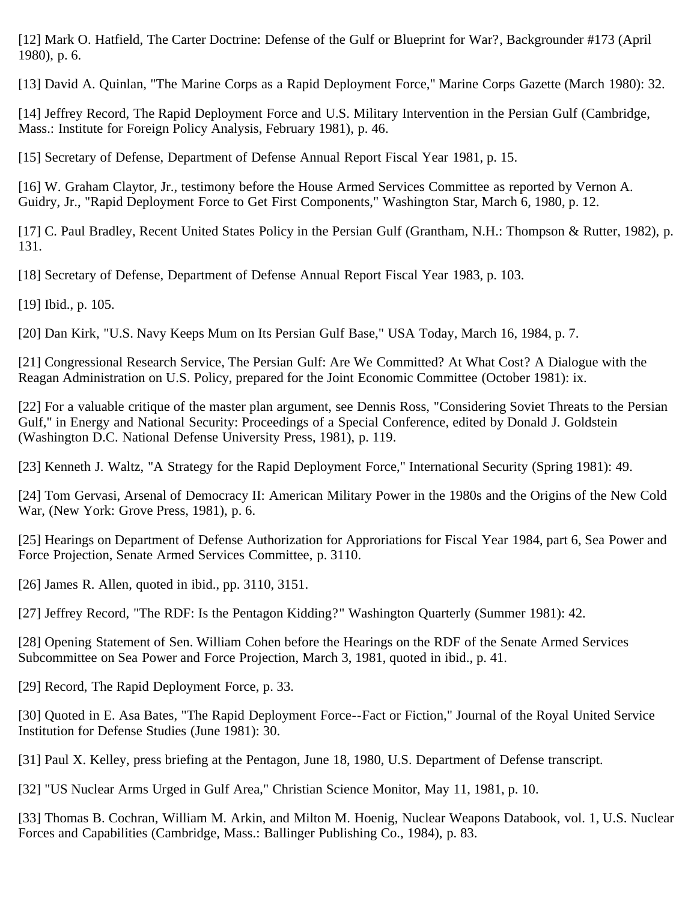[12] Mark O. Hatfield, The Carter Doctrine: Defense of the Gulf or Blueprint for War?, Backgrounder #173 (April 1980), p. 6.

[13] David A. Quinlan, "The Marine Corps as a Rapid Deployment Force," Marine Corps Gazette (March 1980): 32.

[14] Jeffrey Record, The Rapid Deployment Force and U.S. Military Intervention in the Persian Gulf (Cambridge, Mass.: Institute for Foreign Policy Analysis, February 1981), p. 46.

[15] Secretary of Defense, Department of Defense Annual Report Fiscal Year 1981, p. 15.

[16] W. Graham Claytor, Jr., testimony before the House Armed Services Committee as reported by Vernon A. Guidry, Jr., "Rapid Deployment Force to Get First Components," Washington Star, March 6, 1980, p. 12.

[17] C. Paul Bradley, Recent United States Policy in the Persian Gulf (Grantham, N.H.: Thompson & Rutter, 1982), p. 131.

[18] Secretary of Defense, Department of Defense Annual Report Fiscal Year 1983, p. 103.

[19] Ibid., p. 105.

[20] Dan Kirk, "U.S. Navy Keeps Mum on Its Persian Gulf Base," USA Today, March 16, 1984, p. 7.

[21] Congressional Research Service, The Persian Gulf: Are We Committed? At What Cost? A Dialogue with the Reagan Administration on U.S. Policy, prepared for the Joint Economic Committee (October 1981): ix.

[22] For a valuable critique of the master plan argument, see Dennis Ross, "Considering Soviet Threats to the Persian Gulf," in Energy and National Security: Proceedings of a Special Conference, edited by Donald J. Goldstein (Washington D.C. National Defense University Press, 1981), p. 119.

[23] Kenneth J. Waltz, "A Strategy for the Rapid Deployment Force," International Security (Spring 1981): 49.

[24] Tom Gervasi, Arsenal of Democracy II: American Military Power in the 1980s and the Origins of the New Cold War, (New York: Grove Press, 1981), p. 6.

[25] Hearings on Department of Defense Authorization for Approriations for Fiscal Year 1984, part 6, Sea Power and Force Projection, Senate Armed Services Committee, p. 3110.

[26] James R. Allen, quoted in ibid., pp. 3110, 3151.

[27] Jeffrey Record, "The RDF: Is the Pentagon Kidding?" Washington Quarterly (Summer 1981): 42.

[28] Opening Statement of Sen. William Cohen before the Hearings on the RDF of the Senate Armed Services Subcommittee on Sea Power and Force Projection, March 3, 1981, quoted in ibid., p. 41.

[29] Record, The Rapid Deployment Force, p. 33.

[30] Quoted in E. Asa Bates, "The Rapid Deployment Force--Fact or Fiction," Journal of the Royal United Service Institution for Defense Studies (June 1981): 30.

[31] Paul X. Kelley, press briefing at the Pentagon, June 18, 1980, U.S. Department of Defense transcript.

[32] "US Nuclear Arms Urged in Gulf Area," Christian Science Monitor, May 11, 1981, p. 10.

[33] Thomas B. Cochran, William M. Arkin, and Milton M. Hoenig, Nuclear Weapons Databook, vol. 1, U.S. Nuclear Forces and Capabilities (Cambridge, Mass.: Ballinger Publishing Co., 1984), p. 83.